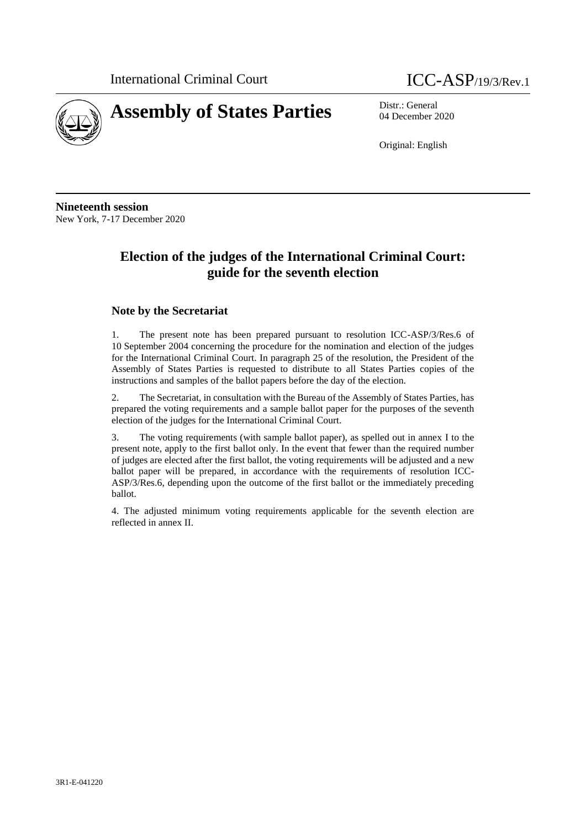

04 December 2020

Original: English

**Nineteenth session** New York, 7-17 December 2020

# **Election of the judges of the International Criminal Court: guide for the seventh election**

#### **Note by the Secretariat**

1. The present note has been prepared pursuant to resolution ICC-ASP/3/Res.6 of 10 September 2004 concerning the procedure for the nomination and election of the judges for the International Criminal Court. In paragraph 25 of the resolution, the President of the Assembly of States Parties is requested to distribute to all States Parties copies of the instructions and samples of the ballot papers before the day of the election.

2. The Secretariat, in consultation with the Bureau of the Assembly of States Parties, has prepared the voting requirements and a sample ballot paper for the purposes of the seventh election of the judges for the International Criminal Court.

3. The voting requirements (with sample ballot paper), as spelled out in annex I to the present note, apply to the first ballot only. In the event that fewer than the required number of judges are elected after the first ballot, the voting requirements will be adjusted and a new ballot paper will be prepared, in accordance with the requirements of resolution ICC-ASP/3/Res.6, depending upon the outcome of the first ballot or the immediately preceding ballot.

4. The adjusted minimum voting requirements applicable for the seventh election are reflected in annex II.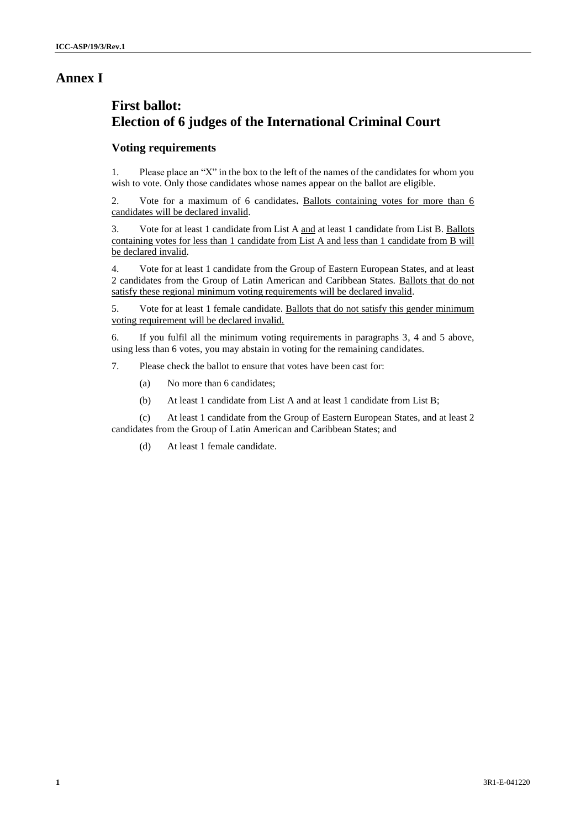# **Annex I**

# **First ballot: Election of 6 judges of the International Criminal Court**

## **Voting requirements**

1. Please place an "X" in the box to the left of the names of the candidates for whom you wish to vote. Only those candidates whose names appear on the ballot are eligible.

2. Vote for a maximum of 6 candidates**.** Ballots containing votes for more than 6 candidates will be declared invalid.

3. Vote for at least 1 candidate from List A and at least 1 candidate from List B. Ballots containing votes for less than 1 candidate from List A and less than 1 candidate from B will be declared invalid.

4. Vote for at least 1 candidate from the Group of Eastern European States, and at least 2 candidates from the Group of Latin American and Caribbean States. Ballots that do not satisfy these regional minimum voting requirements will be declared invalid.

5. Vote for at least 1 female candidate. Ballots that do not satisfy this gender minimum voting requirement will be declared invalid.

6. If you fulfil all the minimum voting requirements in paragraphs 3, 4 and 5 above, using less than 6 votes, you may abstain in voting for the remaining candidates.

7. Please check the ballot to ensure that votes have been cast for:

- (a) No more than 6 candidates;
- (b) At least 1 candidate from List A and at least 1 candidate from List B;

(c) At least 1 candidate from the Group of Eastern European States, and at least 2 candidates from the Group of Latin American and Caribbean States; and

(d) At least 1 female candidate.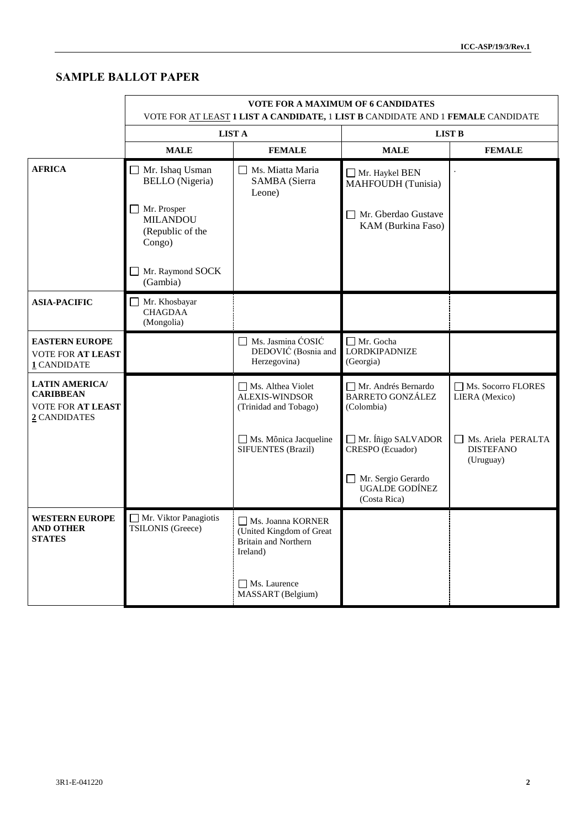# **SAMPLE BALLOT PAPER**

|                                                                                       | <b>VOTE FOR A MAXIMUM OF 6 CANDIDATES</b><br>VOTE FOR AT LEAST 1 LIST A CANDIDATE, 1 LIST B CANDIDATE AND 1 FEMALE CANDIDATE |                                                                                          |                                                              |                                                     |
|---------------------------------------------------------------------------------------|------------------------------------------------------------------------------------------------------------------------------|------------------------------------------------------------------------------------------|--------------------------------------------------------------|-----------------------------------------------------|
|                                                                                       | <b>LIST A</b>                                                                                                                |                                                                                          | <b>LIST B</b>                                                |                                                     |
|                                                                                       | <b>MALE</b>                                                                                                                  | <b>FEMALE</b>                                                                            | <b>MALE</b>                                                  | <b>FEMALE</b>                                       |
| <b>AFRICA</b>                                                                         | Mr. Ishaq Usman<br><b>BELLO</b> (Nigeria)                                                                                    | Ms. Miatta Maria<br>$\Box$<br>SAMBA (Sierra<br>Leone)                                    | Mr. Haykel BEN<br>MAHFOUDH (Tunisia)                         | $\ddot{\phantom{0}}$                                |
|                                                                                       | Mr. Prosper<br><b>MILANDOU</b><br>(Republic of the<br>Congo)                                                                 |                                                                                          | Mr. Gberdao Gustave<br>KAM (Burkina Faso)                    |                                                     |
|                                                                                       | Mr. Raymond SOCK<br>(Gambia)                                                                                                 |                                                                                          |                                                              |                                                     |
| <b>ASIA-PACIFIC</b>                                                                   | Mr. Khosbayar<br><b>CHAGDAA</b><br>(Mongolia)                                                                                |                                                                                          |                                                              |                                                     |
| <b>EASTERN EUROPE</b><br><b>VOTE FOR AT LEAST</b><br>1 CANDIDATE                      |                                                                                                                              | Ms. Jasmina ĆOSIĆ<br>DEDOVIĆ (Bosnia and<br>Herzegovina)                                 | □ Mr. Gocha<br>LORDKIPADNIZE<br>(Georgia)                    |                                                     |
| <b>LATIN AMERICA/</b><br><b>CARIBBEAN</b><br><b>VOTE FOR AT LEAST</b><br>2 CANDIDATES |                                                                                                                              | Ms. Althea Violet<br><b>ALEXIS-WINDSOR</b><br>(Trinidad and Tobago)                      | Mr. Andrés Bernardo<br><b>BARRETO GONZÁLEZ</b><br>(Colombia) | Ms. Socorro FLORES<br>LIERA (Mexico)                |
|                                                                                       |                                                                                                                              | $\Box$ Ms. Mônica Jacqueline<br>SIFUENTES (Brazil)                                       | Mr. Íñigo SALVADOR<br>CRESPO (Ecuador)                       | Ms. Ariela PERALTA<br><b>DISTEFANO</b><br>(Uruguay) |
|                                                                                       |                                                                                                                              |                                                                                          | Mr. Sergio Gerardo<br><b>UGALDE GODÍNEZ</b><br>(Costa Rica)  |                                                     |
| <b>WESTERN EUROPE</b><br><b>AND OTHER</b><br><b>STATES</b>                            | Mr. Viktor Panagiotis<br>TSILONIS (Greece)                                                                                   | Ms. Joanna KORNER<br>(United Kingdom of Great<br><b>Britain and Northern</b><br>Ireland) |                                                              |                                                     |
|                                                                                       |                                                                                                                              | Ms. Laurence<br>MASSART (Belgium)                                                        |                                                              |                                                     |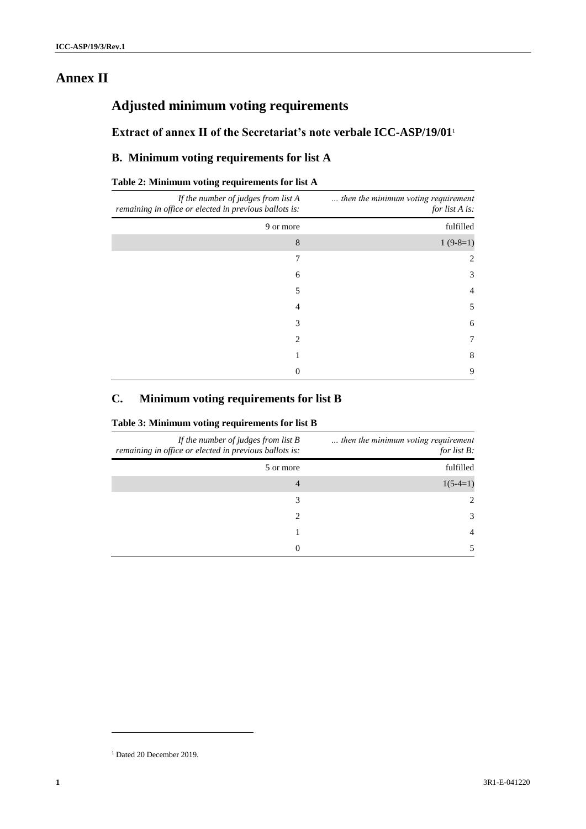# **Annex II**

# **Adjusted minimum voting requirements**

## **Extract of annex II of the Secretariat's note verbale ICC-ASP/19/01**<sup>1</sup>

## **B. Minimum voting requirements for list A**

#### **Table 2: Minimum voting requirements for list A**

| If the number of judges from list A<br>remaining in office or elected in previous ballots is: | then the minimum voting requirement<br>for list A is: |
|-----------------------------------------------------------------------------------------------|-------------------------------------------------------|
| 9 or more                                                                                     | fulfilled                                             |
| 8                                                                                             | $1(9-8=1)$                                            |
|                                                                                               | 2                                                     |
| 6                                                                                             | 3                                                     |
| 5                                                                                             | 4                                                     |
| 4                                                                                             | 5                                                     |
| 3                                                                                             | 6                                                     |
| $\mathfrak{D}_{\mathfrak{p}}$                                                                 | 7                                                     |
|                                                                                               | 8                                                     |
| 0                                                                                             | 9                                                     |

## **C. Minimum voting requirements for list B**

#### **Table 3: Minimum voting requirements for list B**

| then the minimum voting requirement<br>for list $B$ : | If the number of judges from list $B$<br>remaining in office or elected in previous ballots is: |
|-------------------------------------------------------|-------------------------------------------------------------------------------------------------|
| fulfilled                                             | 5 or more                                                                                       |
| $1(5-4=1)$                                            | 4                                                                                               |
| $\mathcal{L}$                                         | 3                                                                                               |
| 3                                                     |                                                                                                 |
| 4                                                     |                                                                                                 |
|                                                       | 0                                                                                               |

l

<sup>&</sup>lt;sup>1</sup> Dated 20 December 2019.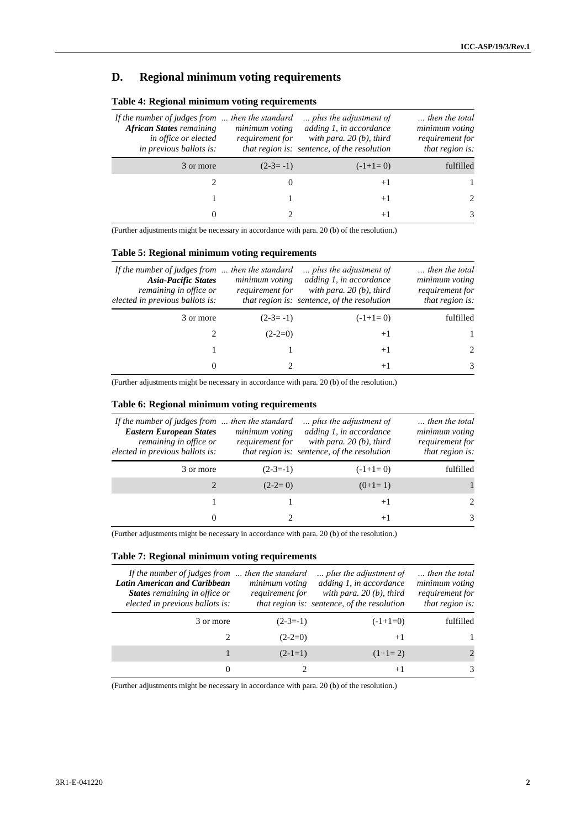## **D. Regional minimum voting requirements**

| then the total<br>minimum voting<br>requirement for<br>that region is: | plus the adjustment of<br>adding 1, in accordance<br>with para. $20(b)$ , third<br>that region is: sentence, of the resolution | minimum voting<br>requirement for | If the number of judges from $\ldots$ then the standard<br><b>African States</b> remaining<br>in office or elected<br>in previous ballots is: |
|------------------------------------------------------------------------|--------------------------------------------------------------------------------------------------------------------------------|-----------------------------------|-----------------------------------------------------------------------------------------------------------------------------------------------|
| fulfilled                                                              | $(-1+1=0)$                                                                                                                     | $(2-3=-1)$                        | 3 or more                                                                                                                                     |
|                                                                        | $+1$                                                                                                                           |                                   |                                                                                                                                               |
|                                                                        | $+1$                                                                                                                           |                                   |                                                                                                                                               |
| 3                                                                      | $+1$                                                                                                                           |                                   |                                                                                                                                               |

#### **Table 4: Regional minimum voting requirements**

(Further adjustments might be necessary in accordance with para. 20 (b) of the resolution.)

#### **Table 5: Regional minimum voting requirements**

| If the number of judges from $\ldots$ then the standard<br><b>Asia-Pacific States</b><br>remaining in office or<br>elected in previous ballots is: | minimum voting<br>requirement for | plus the adjustment of<br>adding 1, in accordance<br>with para. $20(b)$ , third<br>that region is: sentence, of the resolution | then the total<br>minimum voting<br>requirement for<br>that region is: |
|----------------------------------------------------------------------------------------------------------------------------------------------------|-----------------------------------|--------------------------------------------------------------------------------------------------------------------------------|------------------------------------------------------------------------|
| 3 or more                                                                                                                                          | $(2-3=-1)$                        | $(-1+1=0)$                                                                                                                     | fulfilled                                                              |
|                                                                                                                                                    | $(2-2=0)$                         | $+1$                                                                                                                           |                                                                        |
|                                                                                                                                                    |                                   | $+1$                                                                                                                           | $\mathcal{D}_{\mathcal{L}}$                                            |
| $\Omega$                                                                                                                                           |                                   | $+1$                                                                                                                           | 3                                                                      |

(Further adjustments might be necessary in accordance with para. 20 (b) of the resolution.)

#### **Table 6: Regional minimum voting requirements**

| If the number of judges from $\ldots$ then the standard<br><b>Eastern European States</b><br>remaining in office or<br>elected in previous ballots is: | minimum voting<br>requirement for | plus the adjustment of<br>adding 1, in accordance<br>with para, $20(b)$ , third<br>that region is: sentence, of the resolution | then the total<br>minimum voting<br>requirement for<br>that region is: |
|--------------------------------------------------------------------------------------------------------------------------------------------------------|-----------------------------------|--------------------------------------------------------------------------------------------------------------------------------|------------------------------------------------------------------------|
| 3 or more                                                                                                                                              | $(2-3=1)$                         | $(-1+1=0)$                                                                                                                     | fulfilled                                                              |
|                                                                                                                                                        | $(2-2=0)$                         | $(0+1=1)$                                                                                                                      |                                                                        |
|                                                                                                                                                        |                                   | $+1$                                                                                                                           | $\mathcal{D}_{\mathcal{L}}$                                            |
| 0                                                                                                                                                      |                                   | $+1$                                                                                                                           | $\mathcal{R}$                                                          |

(Further adjustments might be necessary in accordance with para. 20 (b) of the resolution.)

#### **Table 7: Regional minimum voting requirements**

| If the number of judges from  then the standard<br>Latin American and Caribbean<br>States remaining in office or<br>elected in previous ballots is: | minimum voting<br>requirement for | plus the adjustment of<br>adding 1, in accordance<br>with para. $20(b)$ , third<br>that region is: sentence, of the resolution | then the total<br>minimum voting<br>requirement for<br>that region is: |
|-----------------------------------------------------------------------------------------------------------------------------------------------------|-----------------------------------|--------------------------------------------------------------------------------------------------------------------------------|------------------------------------------------------------------------|
| 3 or more                                                                                                                                           | $(2-3=-1)$                        | $(-1+1=0)$                                                                                                                     | fulfilled                                                              |
|                                                                                                                                                     | $(2-2=0)$                         | $+1$                                                                                                                           |                                                                        |
|                                                                                                                                                     | $(2-1=1)$                         | $(1+1=2)$                                                                                                                      |                                                                        |
|                                                                                                                                                     |                                   | $+1$                                                                                                                           | 3                                                                      |

(Further adjustments might be necessary in accordance with para. 20 (b) of the resolution.)